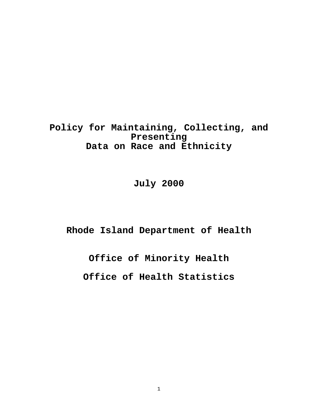**Policy for Maintaining, Collecting, and Presenting Data on Race and Ethnicity**

# **July 2000**

**Rhode Island Department of Health**

**Office of Minority Health**

**Office of Health Statistics**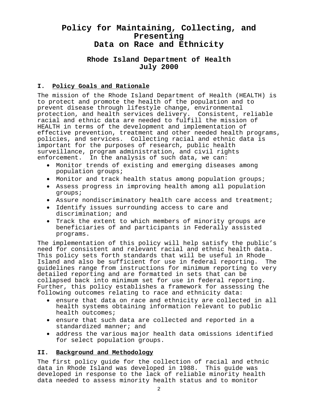# **Policy for Maintaining, Collecting, and Presenting Data on Race and Ethnicity**

# **Rhode Island Department of Health July 2000**

# **I. Policy Goals and Rationale**

The mission of the Rhode Island Department of Health (HEALTH) is to protect and promote the health of the population and to prevent disease through lifestyle change, environmental protection, and health services delivery. Consistent, reliable racial and ethnic data are needed to fulfill the mission of HEALTH in terms of the development and implementation of effective prevention, treatment and other needed health programs, policies, and services. Collecting racial and ethnic data is important for the purposes of research, public health surveillance, program administration, and civil rights enforcement. In the analysis of such data, we can:

- Monitor trends of existing and emerging diseases among population groups;
- Monitor and track health status among population groups;
- Assess progress in improving health among all population groups;
- Assure nondiscriminatory health care access and treatment;
- Identify issues surrounding access to care and discrimination; and
- Track the extent to which members of minority groups are beneficiaries of and participants in Federally assisted programs.

The implementation of this policy will help satisfy the public's need for consistent and relevant racial and ethnic health data. This policy sets forth standards that will be useful in Rhode Island and also be sufficient for use in federal reporting. The guidelines range from instructions for minimum reporting to very detailed reporting and are formatted in sets that can be collapsed back into minimum set for use in federal reporting. Further, this policy establishes a framework for assessing the following outcomes relating to race and ethnicity data:

- ensure that data on race and ethnicity are collected in all health systems obtaining information relevant to public health outcomes;
- ensure that such data are collected and reported in a standardized manner; and
- address the various major health data omissions identified for select population groups.

# **II. Background and Methodology**

The first policy guide for the collection of racial and ethnic data in Rhode Island was developed in 1988. This guide was developed in response to the lack of reliable minority health data needed to assess minority health status and to monitor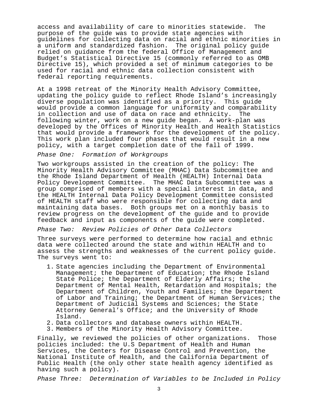access and availability of care to minorities statewide. The purpose of the guide was to provide state agencies with guidelines for collecting data on racial and ethnic minorities in a uniform and standardized fashion. The original policy guide relied on guidance from the federal Office of Management and Budget's Statistical Directive 15 (commonly referred to as OMB Directive 15), which provided a set of minimum categories to be used for racial and ethnic data collection consistent with federal reporting requirements.

At a 1998 retreat of the Minority Health Advisory Committee, updating the policy guide to reflect Rhode Island's increasingly diverse population was identified as a priority. This guide would provide a common language for uniformity and comparability in collection and use of data on race and ethnicity. The following winter, work on a new guide began. A work-plan was developed by the Offices of Minority Health and Health Statistics that would provide a framework for the development of the policy. This work plan included four phases that would result in a new policy, with a target completion date of the fall of 1999.

#### Phase One: Formation of Workgroups

Two workgroups assisted in the creation of the policy: The Minority Health Advisory Committee (MHAC) Data Subcommittee and the Rhode Island Department of Health (HEALTH) Internal Data Policy Development Committee. The MHAC Data Subcommittee was a group comprised of members with a special interest in data, and the HEALTH Internal Data Policy Development Committee consisted of HEALTH staff who were responsible for collecting data and maintaining data bases. Both groups met on a monthly basis to review progress on the development of the guide and to provide feedback and input as components of the guide were completed.

#### Phase Two: Review Policies of Other Data Collectors

Three surveys were performed to determine how racial and ethnic data were collected around the state and within HEALTH and to assess the strengths and weaknesses of the current policy guide. The surveys went to:

- 1. State agencies including the Department of Environmental Management; the Department of Education; the Rhode Island State Police; the Department of Elderly Affairs; the Department of Mental Health, Retardation and Hospitals; the Department of Children, Youth and Families; the Department of Labor and Training; the Department of Human Services; the Department of Judicial Systems and Sciences; the State Attorney General's Office; and the University of Rhode Island.
- 2. Data collectors and database owners within HEALTH.
- 3. Members of the Minority Health Advisory Committee.

Finally, we reviewed the policies of other organizations. Those policies included: the U.S Department of Health and Human Services, the Centers for Disease Control and Prevention, the National Institute of Health, and the California Department of Public Health (the only other state health agency identified as having such a policy).

Phase Three: Determination of Variables to be Included in Policy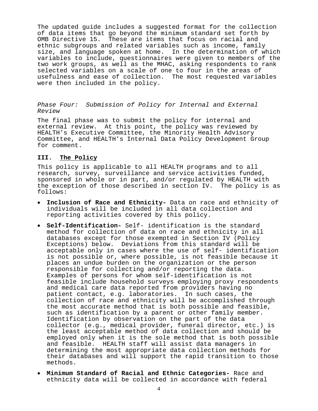The updated guide includes a suggested format for the collection of data items that go beyond the minimum standard set forth by OMB Directive 15. These are items that focus on racial and ethnic subgroups and related variables such as income, family size, and language spoken at home. In the determination of which variables to include, questionnaires were given to members of the two work groups, as well as the MHAC, asking respondents to rank selected variables on a scale of one to four in the areas of usefulness and ease of collection. The most requested variables were then included in the policy.

Phase Four: Submission of Policy for Internal and External Review

The final phase was to submit the policy for internal and external review. At this point, the policy was reviewed by HEALTH's Executive Committee, the Minority Health Advisory Committee, and HEALTH's Internal Data Policy Development Group for comment.

#### **III. The Policy**

This policy is applicable to all HEALTH programs and to all research, survey, surveillance and service activities funded, sponsored in whole or in part, and/or regulated by HEALTH with the exception of those described in section IV. The policy is as follows:

- **Inclusion of Race and Ethnicity-** Data on race and ethnicity of individuals will be included in all data collection and reporting activities covered by this policy.
- **Self-Identification-** Self- identification is the standard method for collection of data on race and ethnicity in all databases except for those exempted in Section IV (Policy Exceptions) below. Deviations from this standard will be acceptable only in cases where the use of self- identification is not possible or, where possible, is not feasible because it places an undue burden on the organization or the person responsible for collecting and/or reporting the data. Examples of persons for whom self-identification is not feasible include household surveys employing proxy respondents and medical care data reported from providers having no patient contact, e.g. laboratories. In such cases, the collection of race and ethnicity will be accomplished through the most accurate method that is both possible and feasible, such as identification by a parent or other family member. Identification by observation on the part of the data collector (e.g., medical provider, funeral director, etc.) is the least acceptable method of data collection and should be employed only when it is the sole method that is both possible and feasible. HEALTH staff will assist data managers in determining the most appropriate data collection methods for their databases and will support the rapid transition to those methods.
- **Minimum Standard of Racial and Ethnic Categories-** Race and ethnicity data will be collected in accordance with federal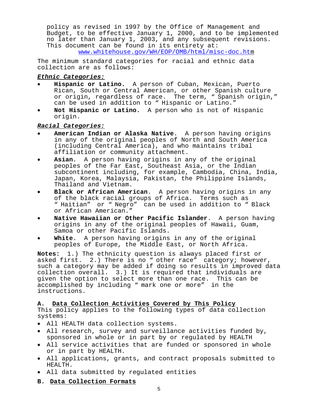policy as revised in 1997 by the Office of Management and Budget, to be effective January 1, 2000, and to be implemented no later than January 1, 2003, and any subsequent revisions. This document can be found in its entirety at: www.whitehouse.gov/WH/EOP/OMB/html/misc-doc.htm

The minimum standard categories for racial and ethnic data collection are as follows:

## **Ethnic Categories:**

- **Hispanic or Latino.** A person of Cuban, Mexican, Puerto Rican, South or Central American, or other Spanish culture or origin, regardless of race. The term, " Spanish origin," can be used in addition to " Hispanic or Latino."
- **Not Hispanic or Latino.** A person who is not of Hispanic origin.

# **Racial Categories:**

- **American Indian or Alaska Native**. A person having origins in any of the original peoples of North and South America (including Central America), and who maintains tribal affiliation or community attachment.
- **Asian**. A person having origins in any of the original peoples of the Far East, Southeast Asia, or the Indian subcontinent including, for example, Cambodia, China, India, Japan, Korea, Malaysia, Pakistan, the Philippine Islands, Thailand and Vietnam.
- **Black or African American**. A person having origins in any of the black racial groups of Africa. Terms such as " Haitian" or " Negro" can be used in addition to " Black or African American."
- **Native Hawaiian or Other Pacific Islander**. A person having origins in any of the original peoples of Hawaii, Guam, Samoa or other Pacific Islands.
- White. A person having origins in any of the original peoples of Europe, the Middle East, or North Africa.

**Notes:** 1.) The ethnicity question is always placed first or asked first. 2.) There is no " other race" category; however, such a category may be added if doing so results in improved data collection overall. 3.) It is required that individuals are given the option to select more than one race. This can be accomplished by including " mark one or more" in the instructions.

# **A. Data Collection Activities Covered by This Policy**

This policy applies to the following types of data collection systems:

- All HEALTH data collection systems.
- All research, survey and surveillance activities funded by, sponsored in whole or in part by or regulated by HEALTH
- All service activities that are funded or sponsored in whole or in part by HEALTH.
- All applications, grants, and contract proposals submitted to HEALTH.
- All data submitted by regulated entities
- **B. Data Collection Formats**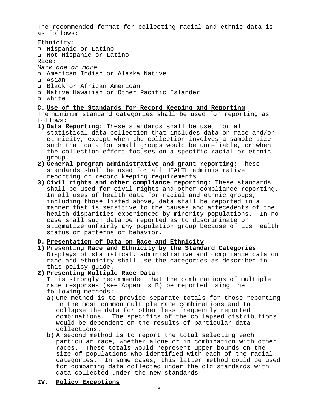The recommended format for collecting racial and ethnic data is as follows:

- Ethnicity: u Hispanic or Latino **Q** Not Hispanic or Latino Race: Mark one or more ! American Indian or Alaska Native ! Asian
- a Black or African American
- ! Native Hawaiian or Other Pacific Islander
- ! White

#### **C. Use of the Standards for Record Keeping and Reporting**

The minimum standard categories shall be used for reporting as follows:

- **1) Data Reporting:** These standards shall be used for all statistical data collection that includes data on race and/or ethnicity, except when the collection involves a sample size such that data for small groups would be unreliable, or when the collection effort focuses on a specific racial or ethnic group.
- **2) General program administrative and grant reporting:** These standards shall be used for all HEALTH administrative reporting or record keeping requirements.
- **3) Civil rights and other compliance reporting:** These standards shall be used for civil rights and other compliance reporting. In all uses of health data for racial and ethnic groups, including those listed above, data shall be reported in a manner that is sensitive to the causes and antecedents of the health disparities experienced by minority populations. In no case shall such data be reported as to discriminate or stigmatize unfairly any population group because of its health status or patterns of behavior.

#### **D. Presentation of Data on Race and Ethnicity**

**1)** Presenting **Race and Ethnicity by the Standard Categories** Displays of statistical, administrative and compliance data on race and ethnicity shall use the categories as described in this policy guide.

#### **2) Presenting Multiple Race Data**

It is strongly recommended that the combinations of multiple race responses (see Appendix B) be reported using the following methods:

- a) One method is to provide separate totals for those reporting in the most common multiple race combinations and to collapse the data for other less frequently reported combinations. The specifics of the collapsed distributions would be dependent on the results of particular data collections.
- b) A second method is to report the total selecting each particular race, whether alone or in combination with other races. These totals would represent upper bounds on the size of populations who identified with each of the racial categories. In some cases, this latter method could be used for comparing data collected under the old standards with data collected under the new standards.
- **IV. Policy Exceptions**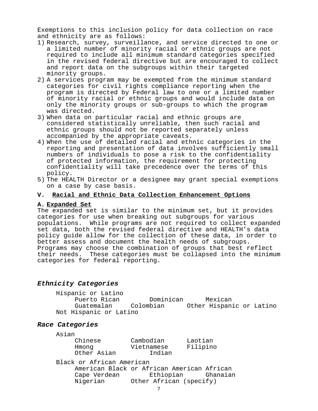Exemptions to this inclusion policy for data collection on race and ethnicity are as follows:

- 1) Research, survey, surveillance, and service directed to one or a limited number of minority racial or ethnic groups are not required to include all minimum standard categories specified in the revised federal directive but are encouraged to collect and report data on the subgroups within their targeted minority groups.
- 2) A services program may be exempted from the minimum standard categories for civil rights compliance reporting when the program is directed by Federal law to one or a limited number of minority racial or ethnic groups and would include data on only the minority groups or sub-groups to which the program was directed.
- 3) When data on particular racial and ethnic groups are considered statistically unreliable, then such racial and ethnic groups should not be reported separately unless accompanied by the appropriate caveats.
- 4) When the use of detailed racial and ethnic categories in the reporting and presentation of data involves sufficiently small numbers of individuals to pose a risk to the confidentiality of protected information, the requirement for protecting confidentiality will take precedence over the terms of this policy.
- 5) The HEALTH Director or a designee may grant special exemptions on a case by case basis.

#### **V. Racial and Ethnic Data Collection Enhancement Options**

#### **A. Expanded Set**

The expanded set is similar to the minimum set, but it provides categories for use when breaking out subgroups for various populations. While programs are not required to collect expanded set data, both the revised federal directive and HEALTH's data policy guide allow for the collection of these data, in order to better assess and document the health needs of subgroups. Programs may choose the combination of groups that best reflect their needs. These categories must be collapsed into the minimum categories for federal reporting.

### **Ethnicity Categories**

Hispanic or Latino Dominican Mexican Guatemalan Colombian Other Hispanic or Latino Not Hispanic or Latino

# **Race Categories**

Asian

| Chinese     | Cambodian  | Laotian  |
|-------------|------------|----------|
| Hmong       | Vietnamese | Filipino |
| Other Asian | Indian     |          |

Black or African American American Black or African American African Ethiopian Ghanaian Nigerian Other African (specify)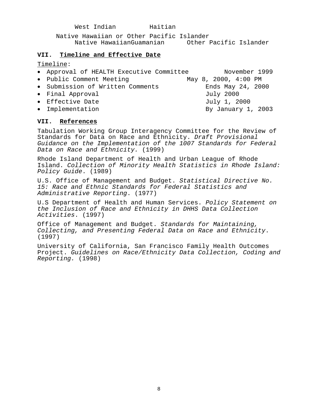West Indian Maitian Native Hawaiian or Other Pacific Islander Native HawaiianGuamanian

### **VII. Timeline and Effective Date**

Timeline:

| • Approval of HEALTH Executive Committee |  |                      | November 1999 |
|------------------------------------------|--|----------------------|---------------|
| • Public Comment Meeting                 |  | May 8, 2000, 4:00 PM |               |
| • Submission of Written Comments         |  | Ends May 24, 2000    |               |
| • Final Approval                         |  | July 2000            |               |
| • Effective Date                         |  | July 1, 2000         |               |
| • Implementation                         |  | By January 1, 2003   |               |
|                                          |  |                      |               |

#### **VII. References**

Tabulation Working Group Interagency Committee for the Review of Standards for Data on Race and Ethnicity. Draft Provisional Guidance on the Implementation of the 1007 Standards for Federal Data on Race and Ethnicity. (1999)

Rhode Island Department of Health and Urban League of Rhode Island. Collection of Minority Health Statistics in Rhode Island: Policy Guide. (1989)

U.S. Office of Management and Budget. Statistical Directive No. 15: Race and Ethnic Standards for Federal Statistics and Administrative Reporting. (1977)

U.S Department of Health and Human Services. Policy Statement on the Inclusion of Race and Ethnicity in DHHS Data Collection Activities. (1997)

Office of Management and Budget. Standards for Maintaining, Collecting, and Presenting Federal Data on Race and Ethnicity. (1997)

University of California, San Francisco Family Health Outcomes Project. Guidelines on Race/Ethnicity Data Collection, Coding and Reporting. (1998)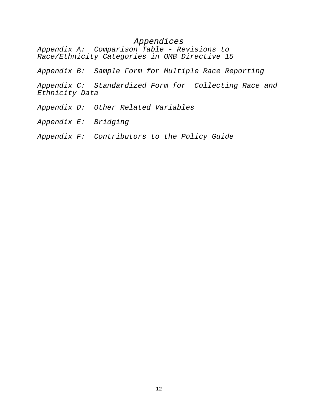# Appendices

Appendix A: Comparison Table - Revisions to Race/Ethnicity Categories in OMB Directive 15

Appendix B: Sample Form for Multiple Race Reporting

Appendix C: Standardized Form for Collecting Race and Ethnicity Data

- Appendix D: Other Related Variables
- Appendix E: Bridging
- Appendix F: Contributors to the Policy Guide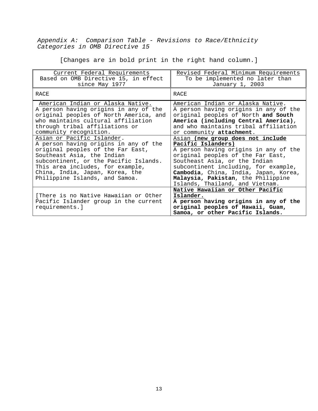Appendix A: Comparison Table - Revisions to Race/Ethnicity Categories in OMB Directive 15

[Changes are in bold print in the right hand column.]

| Current Federal Requirements<br>Based on OMB Directive 15, in effect<br>since May 1977                                                                                                                                                                     | Revised Federal Minimum Requirements<br>To be implemented no later than<br>January 1, 2003                                                                                                                                                                                                  |
|------------------------------------------------------------------------------------------------------------------------------------------------------------------------------------------------------------------------------------------------------------|---------------------------------------------------------------------------------------------------------------------------------------------------------------------------------------------------------------------------------------------------------------------------------------------|
| RACE                                                                                                                                                                                                                                                       | RACE                                                                                                                                                                                                                                                                                        |
| American Indian or Alaska Native.<br>A person having origins in any of the<br>original peoples of North America, and<br>who maintains cultural affiliation<br>through tribal affiliations or<br>community recognition.<br>Asian or Pacific Islander.       | American Indian or Alaska Native.<br>A person having origins in any of the<br>original peoples of North and South<br>America (including Central America),<br>and who maintains tribal affiliation<br>or community attachment.<br>Asian (new group does not include                          |
| A person having origins in any of the<br>original peoples of the Far East,<br>Southeast Asia, the Indian<br>subcontinent, or the Pacific Islands.<br>This area includes, for example,<br>China, India, Japan, Korea, the<br>Philippine Islands, and Samoa. | Pacific Islanders)<br>A person having origins in any of the<br>original peoples of the Far East,<br>Southeast Asia, or the Indian<br>subcontinent including, for example,<br>Cambodia, China, India, Japan, Korea,<br>Malaysia, Pakistan, the Philippine<br>Islands, Thailand, and Vietnam. |
| [There is no Native Hawaiian or Other<br>Pacific Islander group in the current<br>requirements.]                                                                                                                                                           | Native Hawaiian or Other Pacific<br>Islander.<br>A person having origins in any of the<br>original peoples of Hawaii, Guam,<br>Samoa, or other Pacific Islands.                                                                                                                             |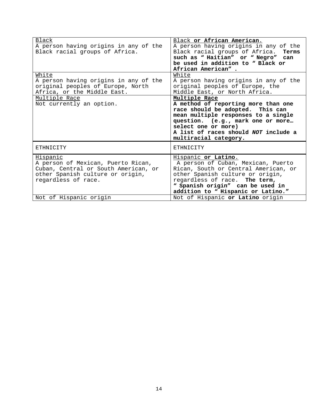| Black<br>A person having origins in any of the<br>Black racial groups of Africa.                                                                  | Black or African American.<br>A person having origins in any of the<br>Black racial groups of Africa.<br>Terms<br>such as "Haitian" or "Negro" can<br>be used in addition to "Black or<br>African American".                                                 |
|---------------------------------------------------------------------------------------------------------------------------------------------------|--------------------------------------------------------------------------------------------------------------------------------------------------------------------------------------------------------------------------------------------------------------|
| White<br>A person having origins in any of the<br>original peoples of Europe, North<br>Africa, or the Middle East.                                | White<br>A person having origins in any of the<br>original peoples of Europe, the<br>Middle East, or North Africa.                                                                                                                                           |
| Multiple Race<br>Not currently an option.                                                                                                         | Multiple Race<br>A method of reporting more than one<br>race should be adopted. This can<br>mean multiple responses to a single<br>question. (e.g., mark one or more<br>select one or more)<br>A list of races should NOT include a<br>multiracial category. |
| ETHNICITY                                                                                                                                         | ETHNICITY                                                                                                                                                                                                                                                    |
| Hispanic<br>A person of Mexican, Puerto Rican,<br>Cuban, Central or South American, or<br>other Spanish culture or origin,<br>regardless of race. | Hispanic or Latino.<br>A person of Cuban, Mexican, Puerto<br>Rican, South or Central American, or<br>other Spanish culture or origin,<br>regardless of race. The term,<br>" Spanish origin" can be used in<br>addition to " Hispanic or Latino."             |
| Not of Hispanic origin                                                                                                                            | Not of Hispanic or Latino origin                                                                                                                                                                                                                             |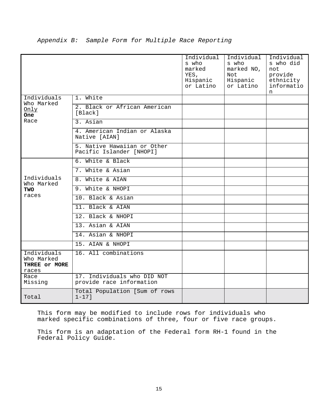|                                                     |                                                         | Individual<br>s who<br>marked<br>YES,<br>Hispanic<br>or Latino | Individual<br>s who<br>marked NO,<br>Not<br>Hispanic<br>or Latino | Individual<br>s who did<br>not<br>provide<br>ethnicity<br>informatio<br>n |
|-----------------------------------------------------|---------------------------------------------------------|----------------------------------------------------------------|-------------------------------------------------------------------|---------------------------------------------------------------------------|
| Individuals                                         | 1. White                                                |                                                                |                                                                   |                                                                           |
| Who Marked<br>Only<br><b>One</b>                    | 2. Black or African American<br>[Black]                 |                                                                |                                                                   |                                                                           |
| Race                                                | $3.$ Asian                                              |                                                                |                                                                   |                                                                           |
|                                                     | 4. American Indian or Alaska<br>Native [AIAN]           |                                                                |                                                                   |                                                                           |
|                                                     | 5. Native Hawaiian or Other<br>Pacific Islander [NHOPI] |                                                                |                                                                   |                                                                           |
|                                                     | 6. White & Black                                        |                                                                |                                                                   |                                                                           |
|                                                     | 7. White & Asian                                        |                                                                |                                                                   |                                                                           |
| Individuals<br>Who Marked                           | 8. White & AIAN                                         |                                                                |                                                                   |                                                                           |
| <b>TWO</b>                                          | 9. White & NHOPI                                        |                                                                |                                                                   |                                                                           |
| races                                               | 10. Black & Asian                                       |                                                                |                                                                   |                                                                           |
|                                                     | 11. Black & AIAN                                        |                                                                |                                                                   |                                                                           |
|                                                     | 12. Black & NHOPI                                       |                                                                |                                                                   |                                                                           |
|                                                     | 13. Asian & AIAN                                        |                                                                |                                                                   |                                                                           |
|                                                     | 14. Asian & NHOPI                                       |                                                                |                                                                   |                                                                           |
|                                                     | 15. AIAN & NHOPI                                        |                                                                |                                                                   |                                                                           |
| Individuals<br>Who Marked<br>THREE Or MORE<br>races | 16. All combinations                                    |                                                                |                                                                   |                                                                           |
| Race<br>Missing                                     | 17. Individuals who DID NOT<br>provide race information |                                                                |                                                                   |                                                                           |
| Total                                               | Total Population [Sum of rows<br>$1 - 17$ ]             |                                                                |                                                                   |                                                                           |

# Appendix B: Sample Form for Multiple Race Reporting

This form may be modified to include rows for individuals who marked specific combinations of three, four or five race groups.

This form is an adaptation of the Federal form RH-1 found in the Federal Policy Guide.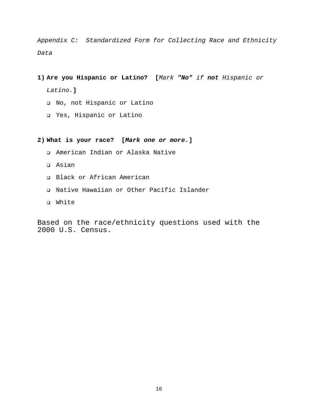Appendix C: Standardized Form for Collecting Race and Ethnicity Data

- **1) Are you Hispanic or Latino? [**Mark **"No"** if **not** Hispanic or Latino.**]**
	- ! No, not Hispanic or Latino
	- ! Yes, Hispanic or Latino

**2) What is your race? [Mark one or more.]**

- ! American Indian or Alaska Native
- ! Asian
- **Q** Black or African American
- ! Native Hawaiian or Other Pacific Islander
- $\n **White**\n$

Based on the race/ethnicity questions used with the 2000 U.S. Census.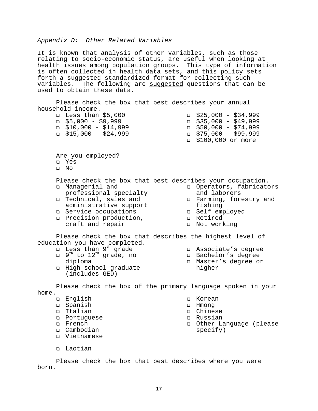#### Appendix D: Other Related Variables

It is known that analysis of other variables, such as those relating to socio-economic status, are useful when looking at health issues among population groups. This type of information is often collected in health data sets, and this policy sets forth a suggested standardized format for collecting such variables. The following are suggested questions that can be used to obtain these data.

Please check the box that best describes your annual household income.

**Q** Less than \$5,000 ! \$5,000 - \$9,999 ! \$10,000 - \$14,999 ! \$15,000 - \$24,999  $\Box$  \$25,000 - \$34,999 999,999 - \$49,999 ! \$50,000 - \$74,999 999,999 − \$75,000 ل ! \$100,000 or more

Are you employed? ! Yes

- 
- ! No

Please check the box that best describes your occupation.<br>
Q Managerial and Q Operators, fabricators ! Managerial and

- professional specialty **Q** Technical, sales and
- administrative support
- **Q** Service occupations
- **Q** Precision production, craft and repair
- **Q** Operators, fabricators and laborers
- u Farming, forestry and fishing
- **a** Self employed
- **Q** Retired
- **Q** Not working

Please check the box that describes the highest level of education you have completed.

- I Less than 9<sup>th</sup> grade
- $12^{th}$  to  $12^{th}$  grade, no diploma
- ! High school graduate (includes GED)
- u Associate's degree
- u Bachelor's degree
- ! Master's degree or higher

Please check the box of the primary language spoken in your home.

- **Q** English
- ! Spanish
- u Italian
- ! Portuguese
- ! French
- **Q** Cambodian
- **Q** Vietnamese
- $\square$  Laotian

! Korean

- u Hmong
- ! Chinese
- ! Russian
- **Q** Other Language (please specify)

Please check the box that best describes where you were born.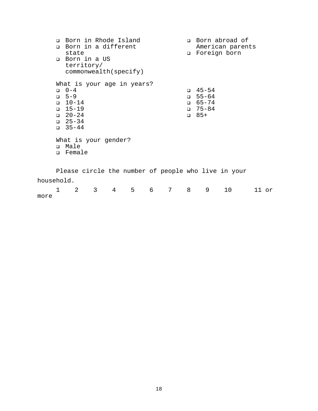|                 |   |                                                                                                   |                              | <b>Q</b> Born in Rhode Island<br><b>Q</b> Born in a different |                            |   |                |        |                                                                   | <b>Q</b> Born abroad of<br>American parents         |       |  |
|-----------------|---|---------------------------------------------------------------------------------------------------|------------------------------|---------------------------------------------------------------|----------------------------|---|----------------|--------|-------------------------------------------------------------------|-----------------------------------------------------|-------|--|
|                 |   | state                                                                                             |                              |                                                               |                            |   |                | $\Box$ | Foreign born                                                      |                                                     |       |  |
|                 |   |                                                                                                   | □ Born in a US<br>territory/ |                                                               | commonwealth(specify)      |   |                |        |                                                                   |                                                     |       |  |
|                 |   | $0 - 4$<br>$-5-9$<br>$\Box$ 10-14<br>$\Box$ 15-19<br>$\Box$ 20-24<br>$\Box$ 25-34<br>$\Box$ 35-44 |                              |                                                               | What is your age in years? |   |                |        | $\Box$ 45-54<br>$-55 - 64$<br>$\Box$ 65-74<br>$75 - 84$<br>$-85+$ |                                                     |       |  |
|                 |   | □ Male<br>□ Female                                                                                |                              | What is your gender?                                          |                            |   |                |        |                                                                   |                                                     |       |  |
|                 |   |                                                                                                   |                              |                                                               |                            |   |                |        |                                                                   | Please circle the number of people who live in your |       |  |
| household.      |   |                                                                                                   |                              |                                                               |                            |   |                |        |                                                                   |                                                     |       |  |
| $m \cap r \cap$ | 1 | 2                                                                                                 | 3 <sup>7</sup>               | 4                                                             | 5                          | 6 | $7\phantom{.}$ | 8      | 9                                                                 | 10                                                  | 11 or |  |

 $1$  more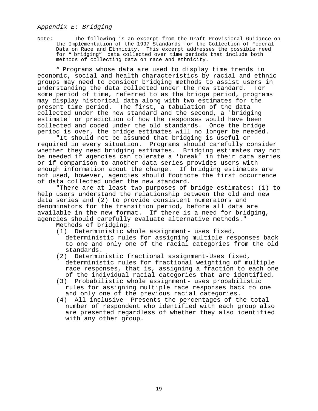# Appendix E: Bridging

Note: The following is an excerpt from the Draft Provisional Guidance on the Implementation of the 1997 Standards for the Collection of Federal Data on Race and Ethnicity. This excerpt addresses the possible need for " bridging" data collected over time periods that include both methods of collecting data on race and ethnicity.

" Programs whose data are used to display time trends in economic, social and health characteristics by racial and ethnic groups may need to consider bridging methods to assist users in understanding the data collected under the new standard. For some period of time, referred to as the bridge period, programs may display historical data along with two estimates for the present time period. The first, a tabulation of the data collected under the new standard and the second, a 'bridging estimate' or prediction of how the responses would have been collected and coded under the old standards. Once the bridge period is over, the bridge estimates will no longer be needed.

"It should not be assumed that bridging is useful or required in every situation. Programs should carefully consider whether they need bridging estimates. Bridging estimates may not be needed if agencies can tolerate a 'break' in their data series or if comparison to another data series provides users with enough information about the change. If bridging estimates are not used, however, agencies should footnote the first occurrence of data collected under the new standard.

"There are at least two purposes of bridge estimates: (1) to help users understand the relationship between the old and new data series and (2) to provide consistent numerators and denominators for the transition period, before all data are available in the new format. If there is a need for bridging, agencies should carefully evaluate alternative methods."

Methods of bridging:

- (1) Deterministic whole assignment- uses fixed, deterministic rules for assigning multiple responses back to one and only one of the racial categories from the old standards.
- (2) Deterministic fractional assignment-Uses fixed, deterministic rules for fractional weighting of multiple race responses, that is, assigning a fraction to each one of the individual racial categories that are identified.
- (3) Probabilistic whole assignment- uses probabilistic rules for assigning multiple race responses back to one and only one of the previous racial categories.
- (4) All inclusive- Presents the percentages of the total number of respondent who identified with each group also are presented regardless of whether they also identified with any other group.